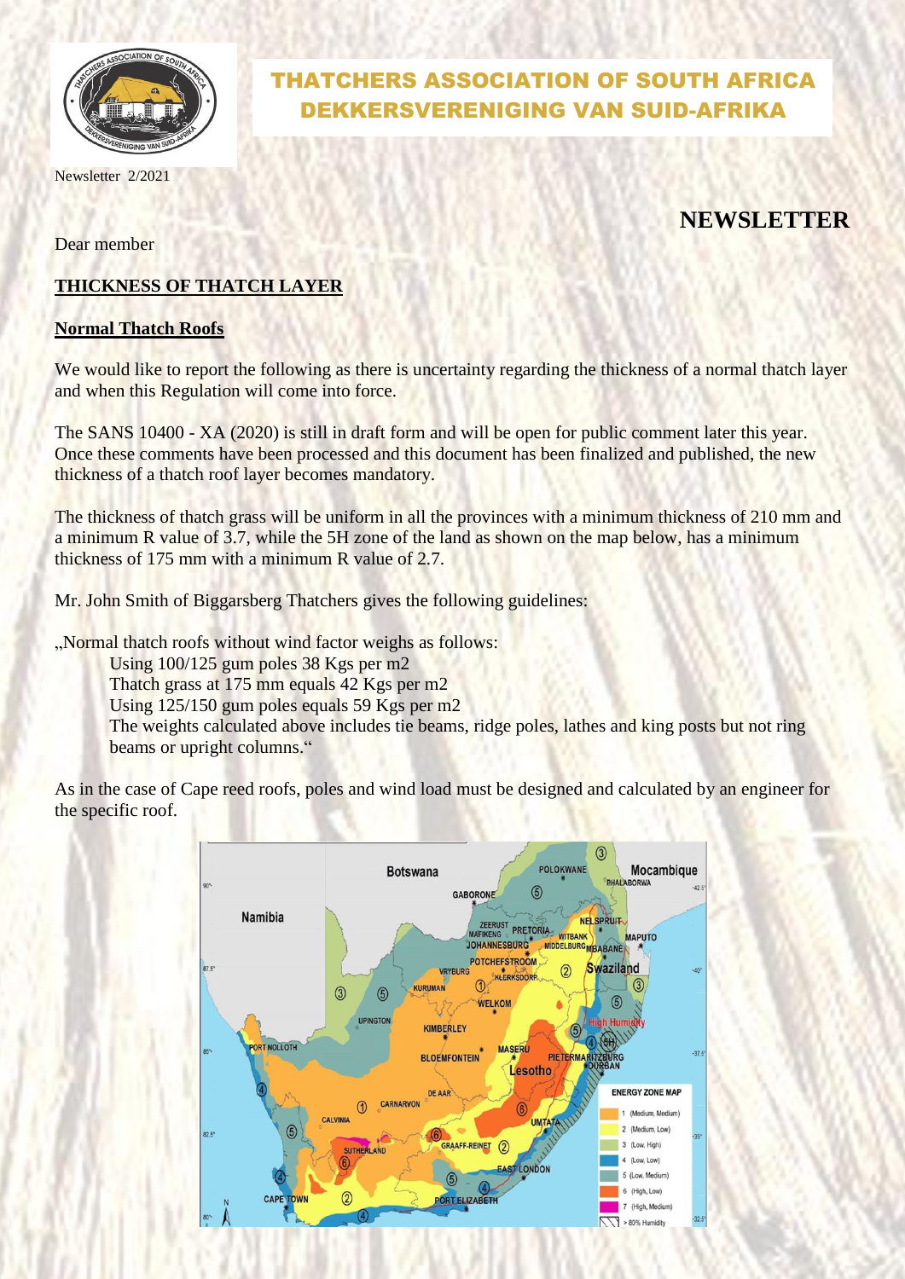

Newsletter 2/2021

# THATCHERS ASSOCIATION OF SOUTH AFRICA DEKKERSVERENIGING VAN SUID-AFRIKA

# **NEWSLETTER**

Dear member

## **THICKNESS OF THATCH LAYER**

### **Normal Thatch Roofs**

We would like to report the following as there is uncertainty regarding the thickness of a normal thatch layer and when this Regulation will come into force.

The SANS 10400 - XA (2020) is still in draft form and will be open for public comment later this year. Once these comments have been processed and this document has been finalized and published, the new thickness of a thatch roof layer becomes mandatory.

The thickness of thatch grass will be uniform in all the provinces with a minimum thickness of 210 mm and a minimum R value of 3.7, while the 5H zone of the land as shown on the map below, has a minimum thickness of 175 mm with a minimum R value of 2.7.

Mr. John Smith of Biggarsberg Thatchers gives the following guidelines:

"Normal thatch roofs without wind factor weighs as follows:

Using 100/125 gum poles 38 Kgs per m2

Thatch grass at 175 mm equals 42 Kgs per m2

Using 125/150 gum poles equals 59 Kgs per m2

The weights calculated above includes tie beams, ridge poles, lathes and king posts but not ring beams or upright columns."

As in the case of Cape reed roofs, poles and wind load must be designed and calculated by an engineer for the specific roof.